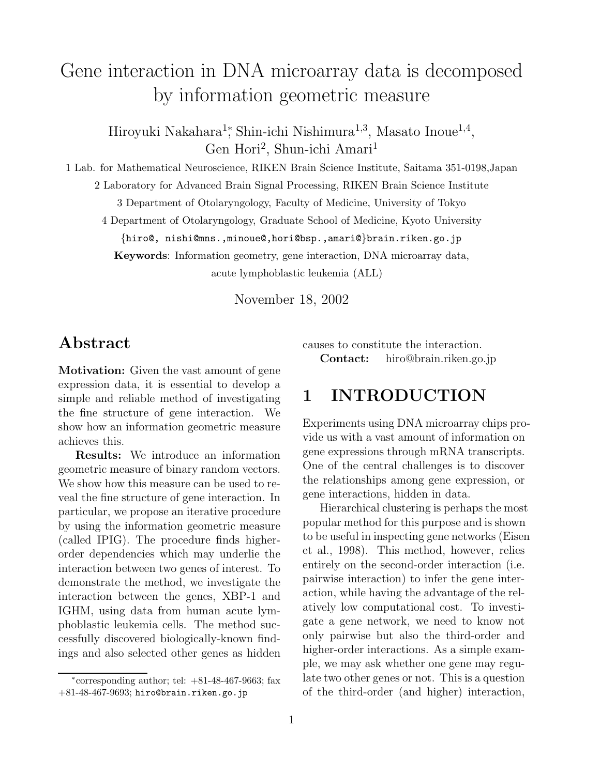# Gene interaction in DNA microarray data is decomposed by information geometric measure

Hiroyuki Nakahara<sup>1</sup><sup>\*</sup>, Shin-ichi Nishimura<sup>1,3</sup>, Masato Inoue<sup>1,4</sup>, Gen Hori<sup>2</sup>, Shun-ichi Amari<sup>1</sup>

1 Lab. for Mathematical Neuroscience, RIKEN Brain Science Institute, Saitama 351-0198,Japan

2 Laboratory for Advanced Brain Signal Processing, RIKEN Brain Science Institute

3 Department of Otolaryngology, Faculty of Medicine, University of Tokyo

4 Department of Otolaryngology, Graduate School of Medicine, Kyoto University

{hiro@, nishi@mns.,minoue@,hori@bsp.,amari@}brain.riken.go.jp

**Keywords**: Information geometry, gene interaction, DNA microarray data,

acute lymphoblastic leukemia (ALL)

November 18, 2002

### **Abstract**

**Motivation:** Given the vast amount of gene expression data, it is essential to develop a simple and reliable method of investigating the fine structure of gene interaction. We show how an information geometric measure achieves this.

**Results:** We introduce an information geometric measure of binary random vectors. We show how this measure can be used to reveal the fine structure of gene interaction. In particular, we propose an iterative procedure by using the information geometric measure (called IPIG). The procedure finds higherorder dependencies which may underlie the interaction between two genes of interest. To demonstrate the method, we investigate the interaction between the genes, XBP-1 and IGHM, using data from human acute lymphoblastic leukemia cells. The method successfully discovered biologically-known findings and also selected other genes as hidden

causes to constitute the interaction. **Contact:** hiro@brain.riken.go.jp

### **1 INTRODUCTION**

Experiments using DNA microarray chips provide us with a vast amount of information on gene expressions through mRNA transcripts. One of the central challenges is to discover the relationships among gene expression, or gene interactions, hidden in data.

Hierarchical clustering is perhaps the most popular method for this purpose and is shown to be useful in inspecting gene networks (Eisen et al., 1998). This method, however, relies entirely on the second-order interaction (i.e. pairwise interaction) to infer the gene interaction, while having the advantage of the relatively low computational cost. To investigate a gene network, we need to know not only pairwise but also the third-order and higher-order interactions. As a simple example, we may ask whether one gene may regulate two other genes or not. This is a question of the third-order (and higher) interaction,

 $*$ corresponding author; tel:  $+81-48-467-9663$ ; fax +81-48-467-9693; hiro@brain.riken.go.jp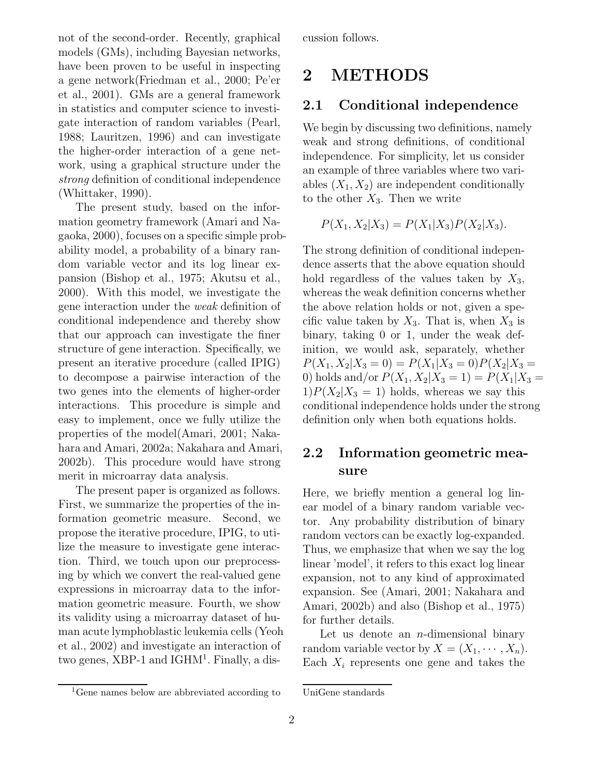not of the second-order. Recently, graphical models (GMs), including Bayesian networks, have been proven to be useful in inspecting a gene network(Friedman et al., 2000; Pe'er et al., 2001). GMs are a general framework in statistics and computer science to investigate interaction of random variables (Pearl, 1988; Lauritzen, 1996) and can investigate the higher-order interaction of a gene network, using a graphical structure under the *strong* definition of conditional independence (Whittaker, 1990).

The present study, based on the information geometry framework (Amari and Nagaoka, 2000), focuses on a specific simple probability model, a probability of a binary random variable vector and its log linear expansion (Bishop et al., 1975; Akutsu et al., 2000). With this model, we investigate the gene interaction under the *weak* definition of conditional independence and thereby show that our approach can investigate the finer structure of gene interaction. Specifically, we present an iterative procedure (called IPIG) to decompose a pairwise interaction of the two genes into the elements of higher-order interactions. This procedure is simple and easy to implement, once we fully utilize the properties of the model(Amari, 2001; Nakahara and Amari, 2002a; Nakahara and Amari, 2002b). This procedure would have strong merit in microarray data analysis.

The present paper is organized as follows. First, we summarize the properties of the information geometric measure. Second, we propose the iterative procedure, IPIG, to utilize the measure to investigate gene interaction. Third, we touch upon our preprocessing by which we convert the real-valued gene expressions in microarray data to the information geometric measure. Fourth, we show its validity using a microarray dataset of human acute lymphoblastic leukemia cells (Yeoh et al., 2002) and investigate an interaction of two genes, XBP-1 and IGHM<sup>1</sup>. Finally, a discussion follows.

### **2 METHODS**

### **2.1 Conditional independence**

We begin by discussing two definitions, namely weak and strong definitions, of conditional independence. For simplicity, let us consider an example of three variables where two variables  $(X_1, X_2)$  are independent conditionally to the other  $X_3$ . Then we write

$$
P(X_1, X_2 | X_3) = P(X_1 | X_3) P(X_2 | X_3).
$$

The strong definition of conditional independence asserts that the above equation should hold regardless of the values taken by  $X_3$ , whereas the weak definition concerns whether the above relation holds or not, given a specific value taken by  $X_3$ . That is, when  $X_3$  is binary, taking 0 or 1, under the weak definition, we would ask, separately, whether  $P(X_1, X_2 | X_3 = 0) = P(X_1 | X_3 = 0)P(X_2 | X_3 = 0)$ 0) holds and/or  $P(X_1, X_2 | X_3 = 1) = P(X_1 | X_3 =$  $1)P(X_2|X_3 = 1)$  holds, whereas we say this conditional independence holds under the strong definition only when both equations holds.

### **2.2 Information geometric measure**

Here, we briefly mention a general log linear model of a binary random variable vector. Any probability distribution of binary random vectors can be exactly log-expanded. Thus, we emphasize that when we say the log linear 'model', it refers to this exact log linear expansion, not to any kind of approximated expansion. See (Amari, 2001; Nakahara and Amari, 2002b) and also (Bishop et al., 1975) for further details.

Let us denote an  $n$ -dimensional binary random variable vector by  $X = (X_1, \dots, X_n)$ . Each  $X_i$  represents one gene and takes the

<sup>1</sup>Gene names below are abbreviated according to

UniGene standards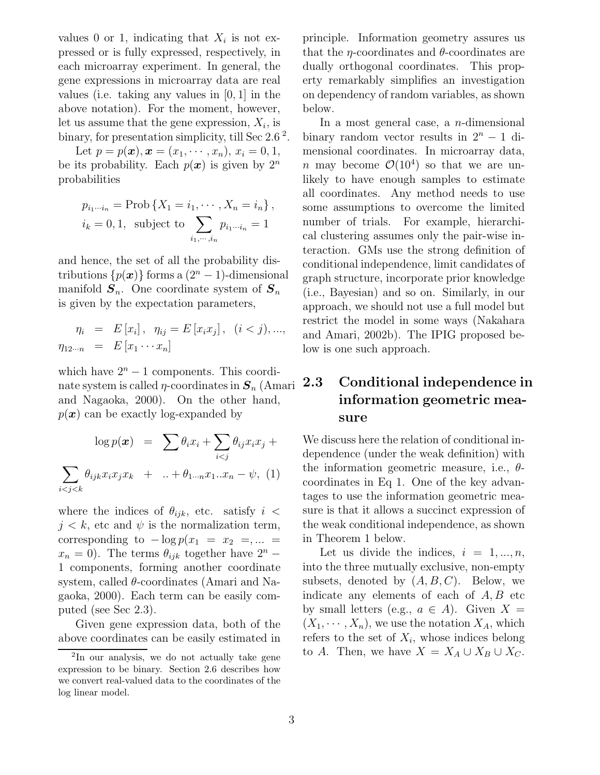values 0 or 1, indicating that  $X_i$  is not expressed or is fully expressed, respectively, in each microarray experiment. In general, the gene expressions in microarray data are real values (i.e. taking any values in [0, 1] in the above notation). For the moment, however, let us assume that the gene expression,  $X_i$ , is binary, for presentation simplicity, till Sec  $2.6^2$ .

Let  $p = p(x), x = (x_1, \dots, x_n), x_i = 0, 1,$ be its probability. Each  $p(x)$  is given by  $2^n$ probabilities

$$
p_{i_1\cdots i_n} = \text{Prob}\left\{X_1 = i_1, \cdots, X_n = i_n\right\},
$$
  

$$
i_k = 0, 1, \text{ subject to } \sum_{i_1, \cdots, i_n} p_{i_1\cdots i_n} = 1
$$

and hence, the set of all the probability distributions  $\{p(x)\}\$ forms a  $(2^n - 1)$ -dimensional manifold  $S_n$ . One coordinate system of  $S_n$ is given by the expectation parameters,

$$
\eta_i = E[x_i], \ \eta_{ij} = E[x_i x_j], \ (i < j), ..., \n\eta_{12\cdots n} = E[x_1 \cdots x_n]
$$

which have  $2^n - 1$  components. This coordinate system is called  $\eta$ -coordinates in  $S_n$  (Amari 2.3) and Nagaoka, 2000). On the other hand,  $p(x)$  can be exactly log-expanded by

$$
\log p(\boldsymbol{x}) = \sum \theta_i x_i + \sum_{i < j} \theta_{ij} x_i x_j + \sum_{i < j < k} \theta_{ijk} x_i x_j x_k + \dots + \theta_{1 \cdots n} x_1 \dots x_n - \psi, \quad (1)
$$

where the indices of  $\theta_{ijk}$ , etc. satisfy  $i <$  $j < k$ , etc and  $\psi$  is the normalization term, corresponding to  $-\log p(x_1 = x_2 = \dots =$  $x_n = 0$ ). The terms  $\theta_{ijk}$  together have  $2^n$  – 1 components, forming another coordinate system, called  $\theta$ -coordinates (Amari and Nagaoka, 2000). Each term can be easily computed (see Sec 2.3).

Given gene expression data, both of the above coordinates can be easily estimated in principle. Information geometry assures us that the  $\eta$ -coordinates and  $\theta$ -coordinates are dually orthogonal coordinates. This property remarkably simplifies an investigation on dependency of random variables, as shown below.

In a most general case, a  $n$ -dimensional binary random vector results in  $2^n - 1$  dimensional coordinates. In microarray data, n may become  $\mathcal{O}(10^4)$  so that we are unlikely to have enough samples to estimate all coordinates. Any method needs to use some assumptions to overcome the limited number of trials. For example, hierarchical clustering assumes only the pair-wise interaction. GMs use the strong definition of conditional independence, limit candidates of graph structure, incorporate prior knowledge (i.e., Bayesian) and so on. Similarly, in our approach, we should not use a full model but restrict the model in some ways (Nakahara and Amari, 2002b). The IPIG proposed below is one such approach.

### **2.3 Conditional independence in information geometric measure**

We discuss here the relation of conditional independence (under the weak definition) with the information geometric measure, i.e.,  $\theta$ coordinates in Eq 1. One of the key advantages to use the information geometric measure is that it allows a succinct expression of the weak conditional independence, as shown in Theorem 1 below.

Let us divide the indices,  $i = 1, ..., n$ , into the three mutually exclusive, non-empty subsets, denoted by  $(A, B, C)$ . Below, we indicate any elements of each of  $A, B$  etc by small letters (e.g.,  $a \in A$ ). Given  $X =$  $(X_1, \dots, X_n)$ , we use the notation  $X_A$ , which refers to the set of  $X_i$ , whose indices belong to A. Then, we have  $X = X_A \cup X_B \cup X_C$ .

<sup>2</sup>In our analysis, we do not actually take gene expression to be binary. Section 2.6 describes how we convert real-valued data to the coordinates of the log linear model.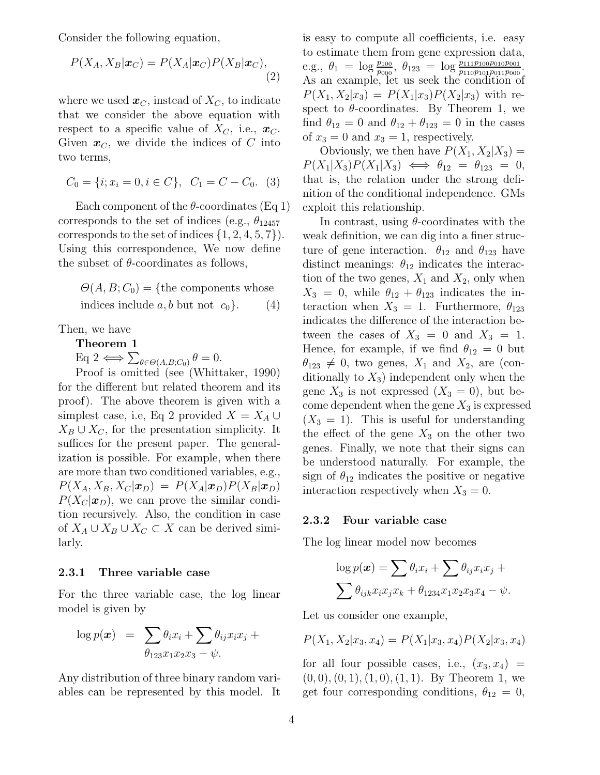Consider the following equation,

$$
P(X_A, X_B | \boldsymbol{x}_C) = P(X_A | \boldsymbol{x}_C) P(X_B | \boldsymbol{x}_C),
$$
\n(2)

where we used  $\boldsymbol{x}_C$ , instead of  $X_C$ , to indicate that we consider the above equation with respect to a specific value of  $X_C$ , i.e.,  $\boldsymbol{x}_C$ . Given  $x_C$ , we divide the indices of C into two terms,

$$
C_0 = \{i; x_i = 0, i \in C\}, \ \ C_1 = C - C_0. \ \ (3)
$$

Each component of the  $\theta$ -coordinates (Eq 1) corresponds to the set of indices (e.g.,  $\theta_{12457}$ ) corresponds to the set of indices  $\{1, 2, 4, 5, 7\}$ . Using this correspondence, We now define the subset of  $\theta$ -coordinates as follows,

$$
\Theta(A, B; C_0) = \{ the components whoseindices include a, b but not c0 \}. (4)
$$

Then, we have

**Theorem 1**

 $\text{Eq } 2 \Longleftrightarrow \sum_{\theta \in \Theta(A,B;C_0)} \theta = 0.$ 

Proof is omitted (see (Whittaker, 1990) for the different but related theorem and its proof). The above theorem is given with a simplest case, i.e, Eq 2 provided  $X = X_A \cup$  $X_B \cup X_C$ , for the presentation simplicity. It suffices for the present paper. The generalization is possible. For example, when there are more than two conditioned variables, e.g.,  $P(X_A, X_B, X_C | \boldsymbol{x}_D) = P(X_A | \boldsymbol{x}_D) P(X_B | \boldsymbol{x}_D)$  $P(X_C|\boldsymbol{x}_D)$ , we can prove the similar condition recursively. Also, the condition in case of  $X_A \cup X_B \cup X_C \subset X$  can be derived similarly.

#### **2.3.1 Three variable case**

For the three variable case, the log linear model is given by

$$
\log p(\boldsymbol{x}) = \sum \theta_i x_i + \sum \theta_{ij} x_i x_j +
$$

$$
\theta_{123} x_1 x_2 x_3 - \psi.
$$

Any distribution of three binary random variables can be represented by this model. It is easy to compute all coefficients, i.e. easy to estimate them from gene expression data, e.g.,  $\theta_1 = \log \frac{p_{100}}{p_{000}}, \ \theta_{123} = \log \frac{p_{111}p_{100}p_{010}p_{001}}{p_{110}p_{101}p_{001}p_{000}}.$ As an example, let us seek the condition of  $P(X_1, X_2|x_3) = P(X_1|x_3)P(X_2|x_3)$  with respect to  $\theta$ -coordinates. By Theorem 1, we find  $\theta_{12} = 0$  and  $\theta_{12} + \theta_{123} = 0$  in the cases of  $x_3 = 0$  and  $x_3 = 1$ , respectively.

Obviously, we then have  $P(X_1, X_2|X_3) =$  $P(X_1|X_3)P(X_1|X_3) \iff \theta_{12} = \theta_{123} = 0,$ that is, the relation under the strong definition of the conditional independence. GMs exploit this relationship.

In contrast, using  $\theta$ -coordinates with the weak definition, we can dig into a finer structure of gene interaction.  $\theta_{12}$  and  $\theta_{123}$  have distinct meanings:  $\theta_{12}$  indicates the interaction of the two genes,  $X_1$  and  $X_2$ , only when  $X_3 = 0$ , while  $\theta_{12} + \theta_{123}$  indicates the interaction when  $X_3 = 1$ . Furthermore,  $\theta_{123}$ indicates the difference of the interaction between the cases of  $X_3 = 0$  and  $X_3 = 1$ . Hence, for example, if we find  $\theta_{12} = 0$  but  $\theta_{123} \neq 0$ , two genes,  $X_1$  and  $X_2$ , are (conditionally to  $X_3$ ) independent only when the gene  $X_3$  is not expressed  $(X_3 = 0)$ , but become dependent when the gene  $X_3$  is expressed  $(X_3 = 1)$ . This is useful for understanding the effect of the gene  $X_3$  on the other two genes. Finally, we note that their signs can be understood naturally. For example, the sign of  $\theta_{12}$  indicates the positive or negative interaction respectively when  $X_3 = 0$ .

#### **2.3.2 Four variable case**

The log linear model now becomes

$$
\log p(\boldsymbol{x}) = \sum \theta_i x_i + \sum \theta_{ij} x_i x_j +
$$

$$
\sum \theta_{ijk} x_i x_j x_k + \theta_{1234} x_1 x_2 x_3 x_4 - \psi.
$$

Let us consider one example,

$$
P(X_1, X_2 | x_3, x_4) = P(X_1 | x_3, x_4) P(X_2 | x_3, x_4)
$$

for all four possible cases, i.e.,  $(x_3, x_4)$  =  $(0, 0), (0, 1), (1, 0), (1, 1)$ . By Theorem 1, we get four corresponding conditions,  $\theta_{12} = 0$ ,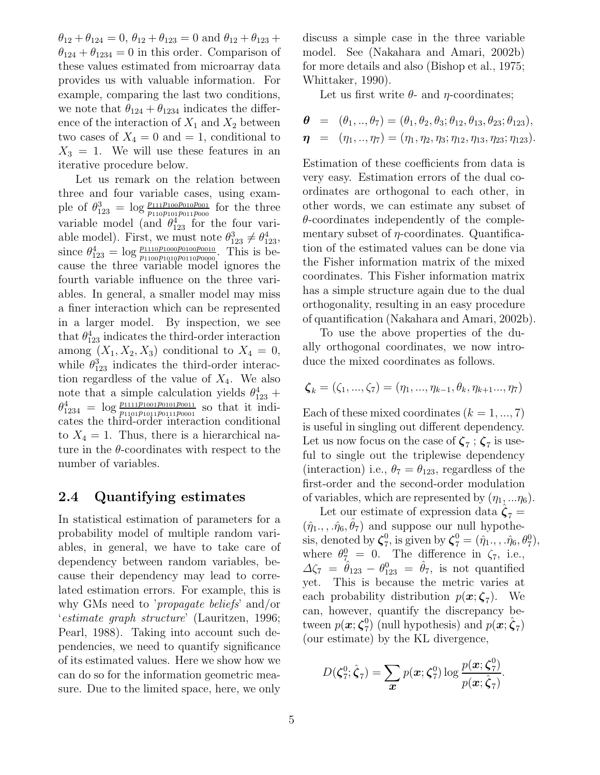$\theta_{12} + \theta_{124} = 0$ ,  $\theta_{12} + \theta_{123} = 0$  and  $\theta_{12} + \theta_{123} + \theta_{124}$  $\theta_{124} + \theta_{1234} = 0$  in this order. Comparison of these values estimated from microarray data provides us with valuable information. For example, comparing the last two conditions, we note that  $\theta_{124} + \theta_{1234}$  indicates the difference of the interaction of  $X_1$  and  $X_2$  between two cases of  $X_4 = 0$  and  $= 1$ , conditional to  $X_3 = 1$ . We will use these features in an iterative procedure below.

Let us remark on the relation between three and four variable cases, using example of  $\theta_{123}^3 = \log \frac{p_{111}p_{100}p_{010}p_{001}}{p_{110}p_{101}p_{011}p_{000}}$  for the three variable model (and  $\theta_{123}^4$  for the four variable model). First, we must note  $\theta_{123}^3 \neq \theta_{123}^4$ , since  $\theta_{123}^4 = \log \frac{p_{1110}p_{1000}p_{0100}p_{0010}}{p_{1100}p_{1010}p_{0010}p_{0000}}$ . This is because the three variable model ignores the fourth variable influence on the three variables. In general, a smaller model may miss a finer interaction which can be represented in a larger model. By inspection, we see that  $\theta_{123}^4$  indicates the third-order interaction among  $(X_1, X_2, X_3)$  conditional to  $X_4 = 0$ , while  $\theta_{123}^3$  indicates the third-order interaction regardless of the value of  $X_4$ . We also note that a simple calculation yields  $\theta_{123}^4$  +  $\theta_{1234}^4 = \log \frac{p_{1111}p_{1001}p_{001}p_{0011}}{p_{1101}p_{011}p_{0011}p_{0001}}$  so that it indicates the third-order interaction conditional to  $X_4 = 1$ . Thus, there is a hierarchical nature in the  $\theta$ -coordinates with respect to the number of variables.

#### **2.4 Quantifying estimates**

In statistical estimation of parameters for a probability model of multiple random variables, in general, we have to take care of dependency between random variables, because their dependency may lead to correlated estimation errors. For example, this is why GMs need to '*propagate beliefs*' and/or '*estimate graph structure*' (Lauritzen, 1996; Pearl, 1988). Taking into account such dependencies, we need to quantify significance of its estimated values. Here we show how we can do so for the information geometric measure. Due to the limited space, here, we only

discuss a simple case in the three variable model. See (Nakahara and Amari, 2002b) for more details and also (Bishop et al., 1975; Whittaker, 1990).

Let us first write  $\theta$ - and  $\eta$ -coordinates;

$$
\begin{array}{lll}\n\boldsymbol{\theta} & = & (\theta_1, \ldots, \theta_7) = (\theta_1, \theta_2, \theta_3; \theta_{12}, \theta_{13}, \theta_{23}; \theta_{123}), \\
\boldsymbol{\eta} & = & (\eta_1, \ldots, \eta_7) = (\eta_1, \eta_2, \eta_3; \eta_{12}, \eta_{13}, \eta_{23}; \eta_{123}).\n\end{array}
$$

Estimation of these coefficients from data is very easy. Estimation errors of the dual coordinates are orthogonal to each other, in other words, we can estimate any subset of  $\theta$ -coordinates independently of the complementary subset of  $\eta$ -coordinates. Quantification of the estimated values can be done via the Fisher information matrix of the mixed coordinates. This Fisher information matrix has a simple structure again due to the dual orthogonality, resulting in an easy procedure of quantification (Nakahara and Amari, 2002b).

To use the above properties of the dually orthogonal coordinates, we now introduce the mixed coordinates as follows.

$$
\boldsymbol{\zeta}_{k}=(\zeta_{1},...,\zeta_{7})=(\eta_{1},...,\eta_{k-1},\theta_{k},\eta_{k+1}...,\eta_{7})
$$

Each of these mixed coordinates  $(k = 1, ..., 7)$ is useful in singling out different dependency. Let us now focus on the case of  $\zeta_7$ ;  $\zeta_7$  is useful to single out the triplewise dependency (interaction) i.e.,  $\theta_7 = \theta_{123}$ , regardless of the first-order and the second-order modulation of variables, which are represented by  $(\eta_1, \ldots \eta_6)$ .

Let our estimate of expression data  $\hat{\zeta}_7 =$  $(\hat{\eta}_1, \ldots, \hat{\eta}_6, \theta_7)$  and suppose our null hypothesis, denoted by  $\boldsymbol{\zeta}_{7}^0$ , is given by  $\boldsymbol{\zeta}_{7}^0 = (\hat{\eta}_1, \dots, \hat{\eta}_6, \theta_7^0)$ , where  $\theta_{7}^0 = 0$ . The difference in  $\zeta_7$ , i.e.,  $\Delta \zeta_7 = \hat{\theta}_{123} - \theta_{123}^0 = \hat{\theta}_7$ , is not quantified yet. This is because the metric varies at each probability distribution  $p(x; \zeta_7)$ . We can, however, quantify the discrepancy between  $p(\boldsymbol{x}; \boldsymbol{\zeta}_7^0)$  (null hypothesis) and  $p(\boldsymbol{x}; \hat{\boldsymbol{\zeta}}_7)$ (our estimate) by the KL divergence,

$$
D(\boldsymbol{\zeta}_7^0; \hat{\boldsymbol{\zeta}}_7) = \sum_{\boldsymbol{x}} p(\boldsymbol{x}; \boldsymbol{\zeta}_7^0) \log \frac{p(\boldsymbol{x}; \boldsymbol{\zeta}_7^0)}{p(\boldsymbol{x}; \hat{\boldsymbol{\zeta}}_7)}.
$$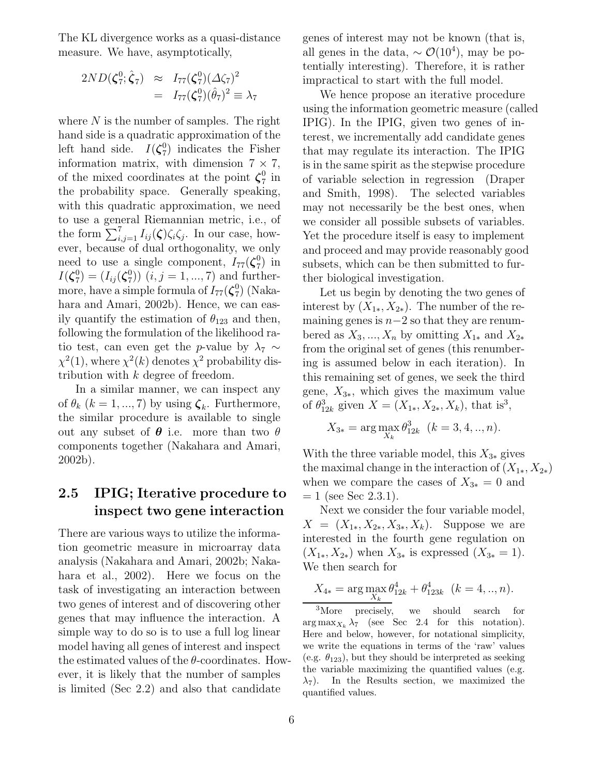The KL divergence works as a quasi-distance measure. We have, asymptotically,

$$
2ND(\zeta_7^0;\hat{\zeta}_7) \approx I_{77}(\zeta_7^0)(\Delta\zeta_7)^2
$$
  
=  $I_{77}(\zeta_7^0)(\hat{\theta}_7)^2 \equiv \lambda_7$ 

where  $N$  is the number of samples. The right hand side is a quadratic approximation of the left hand side.  $I(\zeta_7^0)$  indicates the Fisher information matrix, with dimension  $7 \times 7$ , of the mixed coordinates at the point  $\zeta_7^0$  in the probability space. Generally speaking, with this quadratic approximation, we need to use a general Riemannian metric, i.e., of the form  $\sum_{i,j=1}^7 I_{ij}(\zeta)\zeta_i\zeta_j$ . In our case, however, because of dual orthogonality, we only need to use a single component,  $I_{77}(\zeta_7^0)$  in  $I(\zeta_7^0) = (I_{ij}(\zeta_7^0))$   $(i, j = 1, ..., 7)$  and furthermore, have a simple formula of  $I_{77}(\boldsymbol{\zeta}_{7}^{0})$  (Nakahara and Amari, 2002b). Hence, we can easily quantify the estimation of  $\theta_{123}$  and then, following the formulation of the likelihood ratio test, can even get the *p*-value by  $\lambda_7 \sim$  $\chi^2(1)$ , where  $\chi^2(k)$  denotes  $\chi^2$  probability distribution with k degree of freedom.

In a similar manner, we can inspect any of  $\theta_k$  ( $k = 1, ..., 7$ ) by using  $\zeta_k$ . Furthermore, the similar procedure is available to single out any subset of  $\theta$  i.e. more than two  $\theta$ components together (Nakahara and Amari, 2002b).

### **2.5 IPIG; Iterative procedure to inspect two gene interaction**

There are various ways to utilize the information geometric measure in microarray data analysis (Nakahara and Amari, 2002b; Nakahara et al., 2002). Here we focus on the task of investigating an interaction between two genes of interest and of discovering other genes that may influence the interaction. A simple way to do so is to use a full log linear model having all genes of interest and inspect the estimated values of the  $\theta$ -coordinates. However, it is likely that the number of samples is limited (Sec 2.2) and also that candidate

genes of interest may not be known (that is, all genes in the data,  $\sim \mathcal{O}(10^4)$ , may be potentially interesting). Therefore, it is rather impractical to start with the full model.

We hence propose an iterative procedure using the information geometric measure (called IPIG). In the IPIG, given two genes of interest, we incrementally add candidate genes that may regulate its interaction. The IPIG is in the same spirit as the stepwise procedure of variable selection in regression (Draper and Smith, 1998). The selected variables may not necessarily be the best ones, when we consider all possible subsets of variables. Yet the procedure itself is easy to implement and proceed and may provide reasonably good subsets, which can be then submitted to further biological investigation.

Let us begin by denoting the two genes of interest by  $(X_{1*}, X_{2*})$ . The number of the remaining genes is  $n-2$  so that they are renumbered as  $X_3, ..., X_n$  by omitting  $X_{1*}$  and  $X_{2*}$ from the original set of genes (this renumbering is assumed below in each iteration). In this remaining set of genes, we seek the third gene,  $X_{3*}$ , which gives the maximum value of  $\theta_{12k}^3$  given  $X = (X_{1*}, X_{2*}, X_k)$ , that is<sup>3</sup>,

$$
X_{3*} = \arg\max_{X_k} \theta_{12k}^3 \ \ (k = 3, 4, ..., n).
$$

With the three variable model, this  $X_{3*}$  gives the maximal change in the interaction of  $(X_{1*}, X_{2*})$ when we compare the cases of  $X_{3*} = 0$  and  $= 1$  (see Sec 2.3.1).

Next we consider the four variable model,  $X = (X_{1*}, X_{2*}, X_{3*}, X_k)$ . Suppose we are interested in the fourth gene regulation on  $(X_{1*}, X_{2*})$  when  $X_{3*}$  is expressed  $(X_{3*} = 1)$ . We then search for

$$
X_{4*} = \arg\max_{X_k} \theta_{12k}^4 + \theta_{123k}^4 \quad (k = 4, ..., n).
$$

<sup>3</sup>More precisely, we should search for  $\arg \max_{X_k} \lambda_7$  (see Sec 2.4 for this notation). Here and below, however, for notational simplicity, we write the equations in terms of the 'raw' values (e.g.  $\theta_{123}$ ), but they should be interpreted as seeking the variable maximizing the quantified values (e.g.  $\lambda_7$ ). In the Results section, we maximized the quantified values.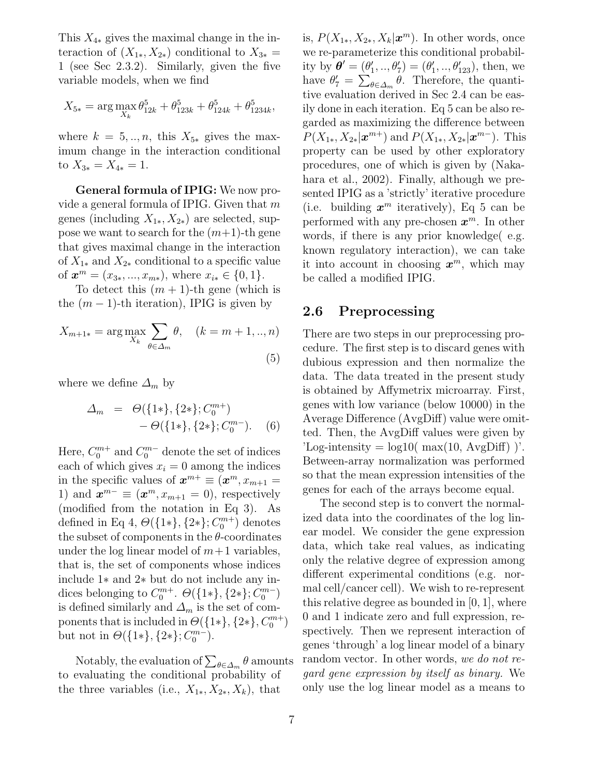This  $X_{4*}$  gives the maximal change in the interaction of  $(X_{1*}, X_{2*})$  conditional to  $X_{3*}$  = 1 (see Sec 2.3.2). Similarly, given the five variable models, when we find

$$
X_{5*} = \arg\max_{X_k} \theta_{12k}^5 + \theta_{123k}^5 + \theta_{124k}^5 + \theta_{1234k}^5,
$$

where  $k = 5, \ldots, n$ , this  $X_{5*}$  gives the maximum change in the interaction conditional to  $X_{3*} = X_{4*} = 1$ .

**General formula of IPIG:** We now provide a general formula of IPIG. Given that  $m$ genes (including  $X_{1*}, X_{2*}$ ) are selected, suppose we want to search for the  $(m+1)$ -th gene that gives maximal change in the interaction of  $X_{1*}$  and  $X_{2*}$  conditional to a specific value of  $\boldsymbol{x}^m = (x_{3*}, ..., x_{m*}),$  where  $x_{i*} \in \{0, 1\}.$ 

To detect this  $(m + 1)$ -th gene (which is the  $(m-1)$ -th iteration), IPIG is given by

$$
X_{m+1*} = \arg \max_{X_k} \sum_{\theta \in \Delta_m} \theta, \quad (k = m+1,..,n)
$$
\n(5)

where we define  $\Delta_m$  by

$$
\Delta_m = \Theta(\{1*\}, \{2*\}; C_0^{m+}) - \Theta(\{1*\}, \{2*\}; C_0^{m-}).
$$
 (6)

Here,  $C_0^{m+}$  and  $C_0^{m-}$  denote the set of indices each of which gives  $x_i = 0$  among the indices in the specific values of  $x^{m+} \equiv (x^m, x_{m+1})$ 1) and  $\mathbf{x}^{m-} \equiv (\mathbf{x}^m, x_{m+1} = 0)$ , respectively (modified from the notation in Eq 3). As defined in Eq 4,  $\Theta({1*}, {2*}; C_0^{m+})$  denotes the subset of components in the  $\theta$ -coordinates under the log linear model of  $m+1$  variables, that is, the set of components whose indices include 1∗ and 2∗ but do not include any indices belonging to  $C_0^{m+}$ .  $\Theta({1*}, {2*}; C_0^{m-})$ is defined similarly and  $\Delta_m$  is the set of components that is included in  $\Theta({1*}, {2*}, C_0^{m+})$ but not in  $\Theta({1*}, {2*}; C_0^{m-})$ .

Notably, the evaluation of  $\sum_{\theta \in \Delta_m} \theta$  amounts to evaluating the conditional probability of the three variables (i.e.,  $X_{1*}, X_{2*}, X_k$ ), that

is,  $P(X_{1*}, X_{2*}, X_k | \mathbf{x}^m)$ . In other words, once we re-parameterize this conditional probability by  $\boldsymbol{\theta}' = (\theta'_1, ..., \theta'_7) = (\theta'_1, ..., \theta'_{123})$ , then, we have  $\theta'_7 = \sum_{\theta \in \Delta_m} \theta$ . Therefore, the quantitive evaluation derived in Sec 2.4 can be easily done in each iteration. Eq 5 can be also regarded as maximizing the difference between  $P(X_{1*}, X_{2*}|\boldsymbol{x}^{m+})$  and  $P(X_{1*}, X_{2*}|\boldsymbol{x}^{m-})$ . This property can be used by other exploratory procedures, one of which is given by (Nakahara et al., 2002). Finally, although we presented IPIG as a 'strictly' iterative procedure (i.e. building  $x^m$  iteratively), Eq 5 can be performed with any pre-chosen  $x^m$ . In other words, if there is any prior knowledge( e.g. known regulatory interaction), we can take it into account in choosing  $x^m$ , which may be called a modified IPIG.

#### **2.6 Preprocessing**

There are two steps in our preprocessing procedure. The first step is to discard genes with dubious expression and then normalize the data. The data treated in the present study is obtained by Affymetrix microarray. First, genes with low variance (below 10000) in the Average Difference (AvgDiff) value were omitted. Then, the AvgDiff values were given by  $'Log-intensity = log10(max(10, AvgDiff))'.$ Between-array normalization was performed so that the mean expression intensities of the genes for each of the arrays become equal.

The second step is to convert the normalized data into the coordinates of the log linear model. We consider the gene expression data, which take real values, as indicating only the relative degree of expression among different experimental conditions (e.g. normal cell/cancer cell). We wish to re-represent this relative degree as bounded in [0, 1], where 0 and 1 indicate zero and full expression, respectively. Then we represent interaction of genes 'through' a log linear model of a binary random vector. In other words, *we do not regard gene expression by itself as binary.* We only use the log linear model as a means to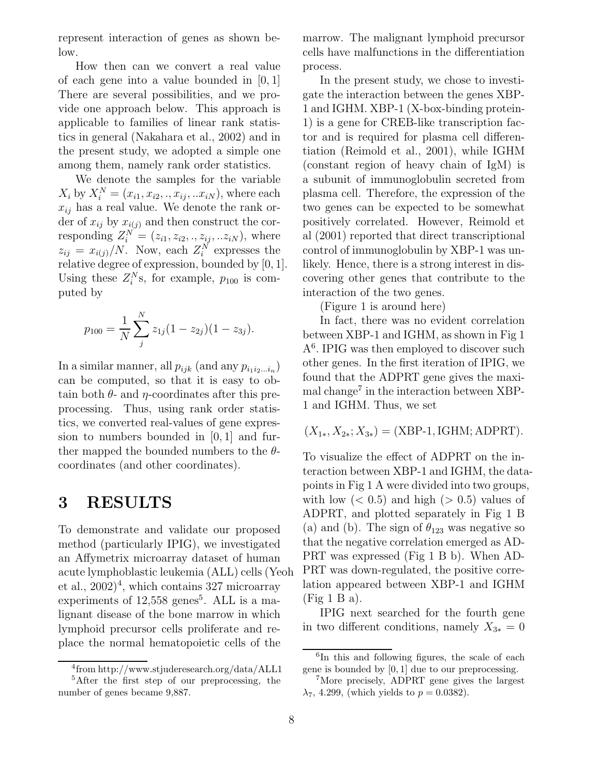represent interaction of genes as shown below.

How then can we convert a real value of each gene into a value bounded in [0, 1] There are several possibilities, and we provide one approach below. This approach is applicable to families of linear rank statistics in general (Nakahara et al., 2002) and in the present study, we adopted a simple one among them, namely rank order statistics.

We denote the samples for the variable  $X_i$  by  $X_i^N = (x_{i1}, x_{i2}, \ldots, x_{iN}, \ldots, x_{iN})$ , where each  $x_{ij}$  has a real value. We denote the rank order of  $x_{ij}$  by  $x_{i(j)}$  and then construct the corresponding  $Z_i^N = (z_{i1}, z_{i2}, \ldots, z_{ij}, \ldots z_{iN})$ , where  $z_{ij} = x_{i(j)}/N$ . Now, each  $Z_i^N$  expresses the relative degree of expression, bounded by [0, 1]. Using these  $Z_i^N$ s, for example,  $p_{100}$  is computed by

$$
p_{100} = \frac{1}{N} \sum_{j}^{N} z_{1j} (1 - z_{2j})(1 - z_{3j}).
$$

In a similar manner, all  $p_{ijk}$  (and any  $p_{i_1 i_2 \ldots i_n}$ ) can be computed, so that it is easy to obtain both  $\theta$ - and  $\eta$ -coordinates after this preprocessing. Thus, using rank order statistics, we converted real-values of gene expression to numbers bounded in [0, 1] and further mapped the bounded numbers to the  $\theta$ coordinates (and other coordinates).

### **3 RESULTS**

To demonstrate and validate our proposed method (particularly IPIG), we investigated an Affymetrix microarray dataset of human acute lymphoblastic leukemia (ALL) cells (Yeoh et al.,  $2002)^4$ , which contains 327 microarray experiments of  $12,558$  genes<sup>5</sup>. ALL is a malignant disease of the bone marrow in which lymphoid precursor cells proliferate and replace the normal hematopoietic cells of the

marrow. The malignant lymphoid precursor cells have malfunctions in the differentiation process.

In the present study, we chose to investigate the interaction between the genes XBP-1 and IGHM. XBP-1 (X-box-binding protein-1) is a gene for CREB-like transcription factor and is required for plasma cell differentiation (Reimold et al., 2001), while IGHM (constant region of heavy chain of IgM) is a subunit of immunoglobulin secreted from plasma cell. Therefore, the expression of the two genes can be expected to be somewhat positively correlated. However, Reimold et al (2001) reported that direct transcriptional control of immunoglobulin by XBP-1 was unlikely. Hence, there is a strong interest in discovering other genes that contribute to the interaction of the two genes.

(Figure 1 is around here)

In fact, there was no evident correlation between XBP-1 and IGHM, as shown in Fig 1 A<sup>6</sup>. IPIG was then employed to discover such other genes. In the first iteration of IPIG, we found that the ADPRT gene gives the maximal change<sup> $7$ </sup> in the interaction between XBP-1 and IGHM. Thus, we set

$$
(X_{1*}, X_{2*}; X_{3*}) = (XBP-1, IGHM; ADPRT).
$$

To visualize the effect of ADPRT on the interaction between XBP-1 and IGHM, the datapoints in Fig 1 A were divided into two groups, with low  $(< 0.5)$  and high  $(> 0.5)$  values of ADPRT, and plotted separately in Fig 1 B (a) and (b). The sign of  $\theta_{123}$  was negative so that the negative correlation emerged as AD-PRT was expressed (Fig 1 B b). When AD-PRT was down-regulated, the positive correlation appeared between XBP-1 and IGHM (Fig 1 B a).

IPIG next searched for the fourth gene in two different conditions, namely  $X_{3*} = 0$ 

<sup>4</sup>from http://www.stjuderesearch.org/data/ALL1

<sup>5</sup>After the first step of our preprocessing, the number of genes became 9,887.

<sup>&</sup>lt;sup>6</sup>In this and following figures, the scale of each gene is bounded by [0, 1] due to our preprocessing.

<sup>7</sup>More precisely, ADPRT gene gives the largest  $\lambda_7$ , 4.299, (which yields to  $p = 0.0382$ ).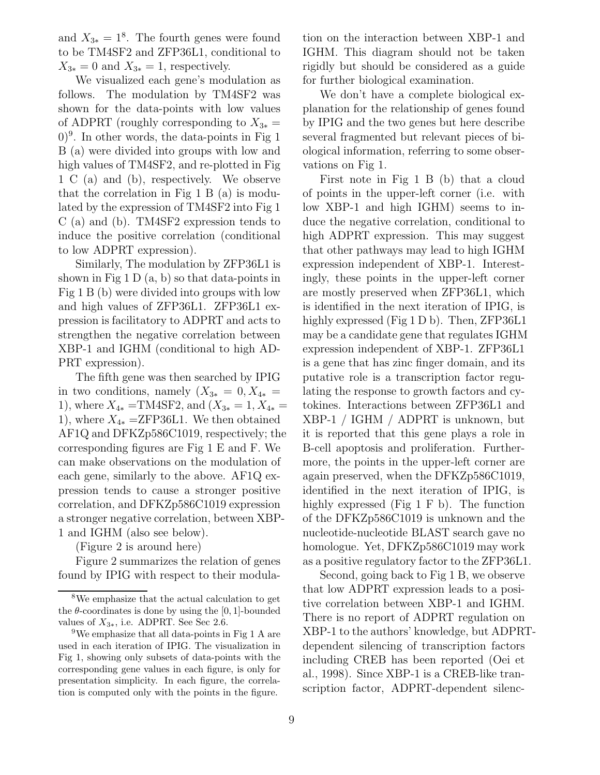and  $X_{3*} = 1^8$ . The fourth genes were found to be TM4SF2 and ZFP36L1, conditional to  $X_{3*} = 0$  and  $X_{3*} = 1$ , respectively.

We visualized each gene's modulation as follows. The modulation by TM4SF2 was shown for the data-points with low values of ADPRT (roughly corresponding to  $X_{3*} =$  $(0)^9$ . In other words, the data-points in Fig 1 B (a) were divided into groups with low and high values of TM4SF2, and re-plotted in Fig 1 C (a) and (b), respectively. We observe that the correlation in Fig 1 B (a) is modulated by the expression of TM4SF2 into Fig 1 C (a) and (b). TM4SF2 expression tends to induce the positive correlation (conditional to low ADPRT expression).

Similarly, The modulation by ZFP36L1 is shown in Fig  $1 D(a, b)$  so that data-points in Fig 1 B (b) were divided into groups with low and high values of ZFP36L1. ZFP36L1 expression is facilitatory to ADPRT and acts to strengthen the negative correlation between XBP-1 and IGHM (conditional to high AD-PRT expression).

The fifth gene was then searched by IPIG in two conditions, namely  $(X_{3*} = 0, X_{4*} =$ 1), where  $X_{4*} = TM4SF2$ , and  $(X_{3*} = 1, X_{4*} =$ 1), where  $X_{4*} = ZFP36L1$ . We then obtained AF1Q and DFKZp586C1019, respectively; the corresponding figures are Fig 1 E and F. We can make observations on the modulation of each gene, similarly to the above. AF1Q expression tends to cause a stronger positive correlation, and DFKZp586C1019 expression a stronger negative correlation, between XBP-1 and IGHM (also see below).

(Figure 2 is around here)

Figure 2 summarizes the relation of genes found by IPIG with respect to their modulation on the interaction between XBP-1 and IGHM. This diagram should not be taken rigidly but should be considered as a guide for further biological examination.

We don't have a complete biological explanation for the relationship of genes found by IPIG and the two genes but here describe several fragmented but relevant pieces of biological information, referring to some observations on Fig 1.

First note in Fig 1 B (b) that a cloud of points in the upper-left corner (i.e. with low XBP-1 and high IGHM) seems to induce the negative correlation, conditional to high ADPRT expression. This may suggest that other pathways may lead to high IGHM expression independent of XBP-1. Interestingly, these points in the upper-left corner are mostly preserved when ZFP36L1, which is identified in the next iteration of IPIG, is highly expressed (Fig 1 D b). Then, ZFP36L1 may be a candidate gene that regulates IGHM expression independent of XBP-1. ZFP36L1 is a gene that has zinc finger domain, and its putative role is a transcription factor regulating the response to growth factors and cytokines. Interactions between ZFP36L1 and XBP-1 / IGHM / ADPRT is unknown, but it is reported that this gene plays a role in B-cell apoptosis and proliferation. Furthermore, the points in the upper-left corner are again preserved, when the DFKZp586C1019, identified in the next iteration of IPIG, is highly expressed (Fig 1 F b). The function of the DFKZp586C1019 is unknown and the nucleotide-nucleotide BLAST search gave no homologue. Yet, DFKZp586C1019 may work as a positive regulatory factor to the ZFP36L1.

Second, going back to Fig 1 B, we observe that low ADPRT expression leads to a positive correlation between XBP-1 and IGHM. There is no report of ADPRT regulation on XBP-1 to the authors' knowledge, but ADPRTdependent silencing of transcription factors including CREB has been reported (Oei et al., 1998). Since XBP-1 is a CREB-like transcription factor, ADPRT-dependent silenc-

<sup>8</sup>We emphasize that the actual calculation to get the  $\theta$ -coordinates is done by using the [0, 1]-bounded values of  $X_{3*}$ , i.e. ADPRT. See Sec 2.6.

<sup>9</sup>We emphasize that all data-points in Fig 1 A are used in each iteration of IPIG. The visualization in Fig 1, showing only subsets of data-points with the corresponding gene values in each figure, is only for presentation simplicity. In each figure, the correlation is computed only with the points in the figure.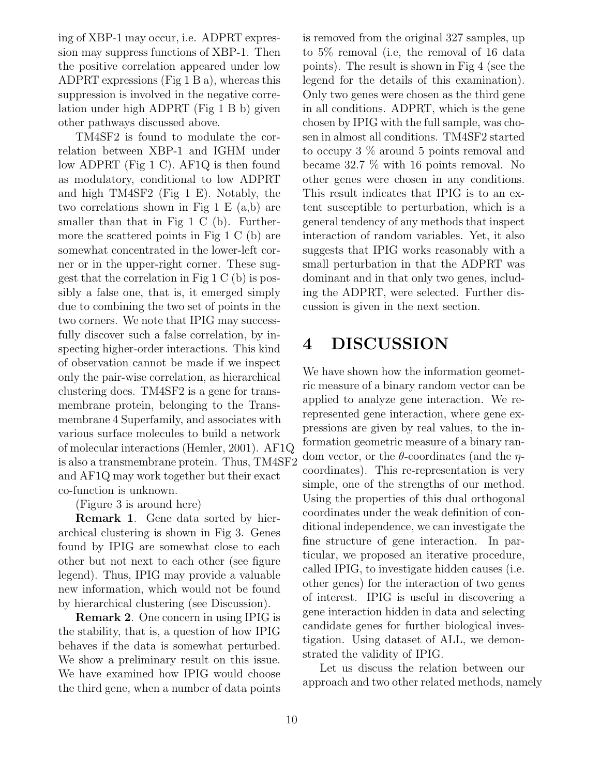ing of XBP-1 may occur, i.e. ADPRT expression may suppress functions of XBP-1. Then the positive correlation appeared under low ADPRT expressions (Fig 1 B a), whereas this suppression is involved in the negative correlation under high ADPRT (Fig 1 B b) given other pathways discussed above.

TM4SF2 is found to modulate the correlation between XBP-1 and IGHM under low ADPRT (Fig 1 C). AF1Q is then found as modulatory, conditional to low ADPRT and high TM4SF2 (Fig 1 E). Notably, the two correlations shown in Fig 1 E (a,b) are smaller than that in Fig 1 C (b). Furthermore the scattered points in Fig 1 C (b) are somewhat concentrated in the lower-left corner or in the upper-right corner. These suggest that the correlation in Fig 1 C (b) is possibly a false one, that is, it emerged simply due to combining the two set of points in the two corners. We note that IPIG may successfully discover such a false correlation, by inspecting higher-order interactions. This kind of observation cannot be made if we inspect only the pair-wise correlation, as hierarchical clustering does. TM4SF2 is a gene for transmembrane protein, belonging to the Transmembrane 4 Superfamily, and associates with various surface molecules to build a network of molecular interactions (Hemler, 2001). AF1Q is also a transmembrane protein. Thus, TM4SF2 and AF1Q may work together but their exact co-function is unknown.

(Figure 3 is around here)

**Remark 1**. Gene data sorted by hierarchical clustering is shown in Fig 3. Genes found by IPIG are somewhat close to each other but not next to each other (see figure legend). Thus, IPIG may provide a valuable new information, which would not be found by hierarchical clustering (see Discussion).

**Remark 2**. One concern in using IPIG is the stability, that is, a question of how IPIG behaves if the data is somewhat perturbed. We show a preliminary result on this issue. We have examined how IPIG would choose the third gene, when a number of data points is removed from the original 327 samples, up to 5% removal (i.e, the removal of 16 data points). The result is shown in Fig 4 (see the legend for the details of this examination). Only two genes were chosen as the third gene in all conditions. ADPRT, which is the gene chosen by IPIG with the full sample, was chosen in almost all conditions. TM4SF2 started to occupy 3 % around 5 points removal and became 32.7 % with 16 points removal. No other genes were chosen in any conditions. This result indicates that IPIG is to an extent susceptible to perturbation, which is a general tendency of any methods that inspect interaction of random variables. Yet, it also suggests that IPIG works reasonably with a small perturbation in that the ADPRT was dominant and in that only two genes, including the ADPRT, were selected. Further discussion is given in the next section.

# **4 DISCUSSION**

We have shown how the information geometric measure of a binary random vector can be applied to analyze gene interaction. We rerepresented gene interaction, where gene expressions are given by real values, to the information geometric measure of a binary random vector, or the  $\theta$ -coordinates (and the  $\eta$ coordinates). This re-representation is very simple, one of the strengths of our method. Using the properties of this dual orthogonal coordinates under the weak definition of conditional independence, we can investigate the fine structure of gene interaction. In particular, we proposed an iterative procedure, called IPIG, to investigate hidden causes (i.e. other genes) for the interaction of two genes of interest. IPIG is useful in discovering a gene interaction hidden in data and selecting candidate genes for further biological investigation. Using dataset of ALL, we demonstrated the validity of IPIG.

Let us discuss the relation between our approach and two other related methods, namely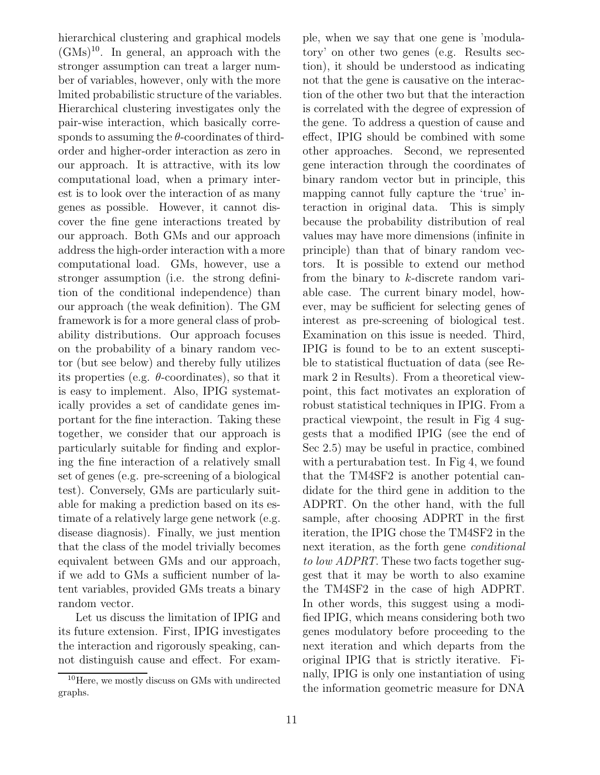hierarchical clustering and graphical models  $(GMs)^{10}$ . In general, an approach with the stronger assumption can treat a larger number of variables, however, only with the more lmited probabilistic structure of the variables. Hierarchical clustering investigates only the pair-wise interaction, which basically corresponds to assuming the  $\theta$ -coordinates of thirdorder and higher-order interaction as zero in our approach. It is attractive, with its low computational load, when a primary interest is to look over the interaction of as many genes as possible. However, it cannot discover the fine gene interactions treated by our approach. Both GMs and our approach address the high-order interaction with a more computational load. GMs, however, use a stronger assumption (i.e. the strong definition of the conditional independence) than our approach (the weak definition). The GM framework is for a more general class of probability distributions. Our approach focuses on the probability of a binary random vector (but see below) and thereby fully utilizes its properties (e.g.  $\theta$ -coordinates), so that it is easy to implement. Also, IPIG systematically provides a set of candidate genes important for the fine interaction. Taking these together, we consider that our approach is particularly suitable for finding and exploring the fine interaction of a relatively small set of genes (e.g. pre-screening of a biological test). Conversely, GMs are particularly suitable for making a prediction based on its estimate of a relatively large gene network (e.g. disease diagnosis). Finally, we just mention that the class of the model trivially becomes equivalent between GMs and our approach, if we add to GMs a sufficient number of latent variables, provided GMs treats a binary random vector.

Let us discuss the limitation of IPIG and its future extension. First, IPIG investigates the interaction and rigorously speaking, cannot distinguish cause and effect. For example, when we say that one gene is 'modulatory' on other two genes (e.g. Results section), it should be understood as indicating not that the gene is causative on the interaction of the other two but that the interaction is correlated with the degree of expression of the gene. To address a question of cause and effect, IPIG should be combined with some other approaches. Second, we represented gene interaction through the coordinates of binary random vector but in principle, this mapping cannot fully capture the 'true' interaction in original data. This is simply because the probability distribution of real values may have more dimensions (infinite in principle) than that of binary random vectors. It is possible to extend our method from the binary to k-discrete random variable case. The current binary model, however, may be sufficient for selecting genes of interest as pre-screening of biological test. Examination on this issue is needed. Third, IPIG is found to be to an extent susceptible to statistical fluctuation of data (see Remark 2 in Results). From a theoretical viewpoint, this fact motivates an exploration of robust statistical techniques in IPIG. From a practical viewpoint, the result in Fig 4 suggests that a modified IPIG (see the end of Sec 2.5) may be useful in practice, combined with a perturabation test. In Fig 4, we found that the TM4SF2 is another potential candidate for the third gene in addition to the ADPRT. On the other hand, with the full sample, after choosing ADPRT in the first iteration, the IPIG chose the TM4SF2 in the next iteration, as the forth gene *conditional to low ADPRT*. These two facts together suggest that it may be worth to also examine the TM4SF2 in the case of high ADPRT. In other words, this suggest using a modified IPIG, which means considering both two genes modulatory before proceeding to the next iteration and which departs from the original IPIG that is strictly iterative. Finally, IPIG is only one instantiation of using the information geometric measure for DNA

<sup>10</sup>Here, we mostly discuss on GMs with undirected graphs.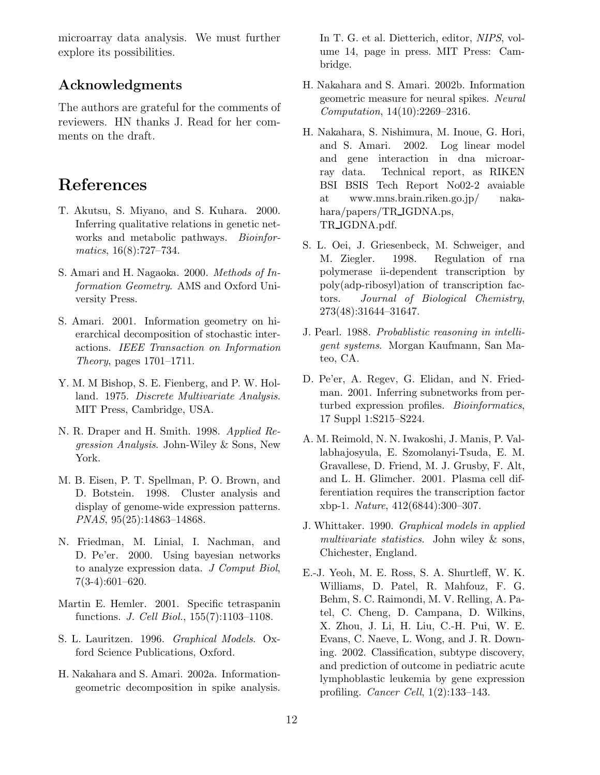microarray data analysis. We must further explore its possibilities.

### **Acknowledgments**

The authors are grateful for the comments of reviewers. HN thanks J. Read for her comments on the draft.

## **References**

- T. Akutsu, S. Miyano, and S. Kuhara. 2000. Inferring qualitative relations in genetic networks and metabolic pathways. *Bioinformatics*, 16(8):727–734.
- S. Amari and H. Nagaoka. 2000. *Methods of Information Geometry*. AMS and Oxford University Press.
- S. Amari. 2001. Information geometry on hierarchical decomposition of stochastic interactions. *IEEE Transaction on Information Theory*, pages 1701–1711.
- Y. M. M Bishop, S. E. Fienberg, and P. W. Holland. 1975. *Discrete Multivariate Analysis*. MIT Press, Cambridge, USA.
- N. R. Draper and H. Smith. 1998. *Applied Regression Analysis*. John-Wiley & Sons, New York.
- M. B. Eisen, P. T. Spellman, P. O. Brown, and D. Botstein. 1998. Cluster analysis and display of genome-wide expression patterns. *PNAS*, 95(25):14863–14868.
- N. Friedman, M. Linial, I. Nachman, and D. Pe'er. 2000. Using bayesian networks to analyze expression data. *J Comput Biol*, 7(3-4):601–620.
- Martin E. Hemler. 2001. Specific tetraspanin functions. *J. Cell Biol.*, 155(7):1103–1108.
- S. L. Lauritzen. 1996. *Graphical Models*. Oxford Science Publications, Oxford.
- H. Nakahara and S. Amari. 2002a. Informationgeometric decomposition in spike analysis.

In T. G. et al. Dietterich, editor, *NIPS*, volume 14, page in press. MIT Press: Cambridge.

- H. Nakahara and S. Amari. 2002b. Information geometric measure for neural spikes. *Neural Computation*, 14(10):2269–2316.
- H. Nakahara, S. Nishimura, M. Inoue, G. Hori, and S. Amari. 2002. Log linear model and gene interaction in dna microarray data. Technical report, as RIKEN BSI BSIS Tech Report No02-2 avaiable at www.mns.brain.riken.go.jp/ nakahara/papers/TR IGDNA.ps, TR IGDNA.pdf.
- S. L. Oei, J. Griesenbeck, M. Schweiger, and M. Ziegler. 1998. Regulation of rna polymerase ii-dependent transcription by poly(adp-ribosyl)ation of transcription factors. *Journal of Biological Chemistry*, 273(48):31644–31647.
- J. Pearl. 1988. *Probablistic reasoning in intelligent systems*. Morgan Kaufmann, San Mateo, CA.
- D. Pe'er, A. Regev, G. Elidan, and N. Friedman. 2001. Inferring subnetworks from perturbed expression profiles. *Bioinformatics*, 17 Suppl 1:S215–S224.
- A. M. Reimold, N. N. Iwakoshi, J. Manis, P. Vallabhajosyula, E. Szomolanyi-Tsuda, E. M. Gravallese, D. Friend, M. J. Grusby, F. Alt, and L. H. Glimcher. 2001. Plasma cell differentiation requires the transcription factor xbp-1. *Nature*, 412(6844):300–307.
- J. Whittaker. 1990. *Graphical models in applied multivariate statistics*. John wiley & sons, Chichester, England.
- E.-J. Yeoh, M. E. Ross, S. A. Shurtleff, W. K. Williams, D. Patel, R. Mahfouz, F. G. Behm, S. C. Raimondi, M. V. Relling, A. Patel, C. Cheng, D. Campana, D. Wilkins, X. Zhou, J. Li, H. Liu, C.-H. Pui, W. E. Evans, C. Naeve, L. Wong, and J. R. Downing. 2002. Classification, subtype discovery, and prediction of outcome in pediatric acute lymphoblastic leukemia by gene expression profiling. *Cancer Cell*, 1(2):133–143.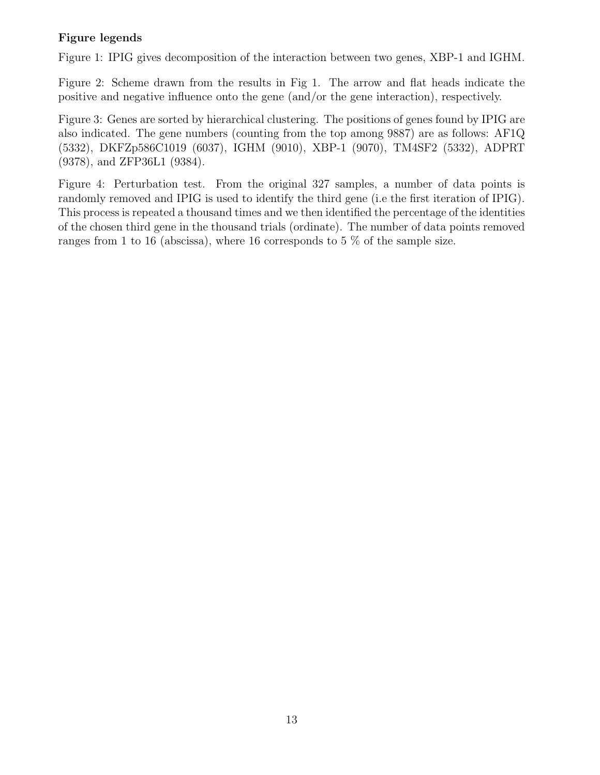#### **Figure legends**

Figure 1: IPIG gives decomposition of the interaction between two genes, XBP-1 and IGHM.

Figure 2: Scheme drawn from the results in Fig 1. The arrow and flat heads indicate the positive and negative influence onto the gene (and/or the gene interaction), respectively.

Figure 3: Genes are sorted by hierarchical clustering. The positions of genes found by IPIG are also indicated. The gene numbers (counting from the top among 9887) are as follows: AF1Q (5332), DKFZp586C1019 (6037), IGHM (9010), XBP-1 (9070), TM4SF2 (5332), ADPRT (9378), and ZFP36L1 (9384).

Figure 4: Perturbation test. From the original 327 samples, a number of data points is randomly removed and IPIG is used to identify the third gene (i.e the first iteration of IPIG). This process is repeated a thousand times and we then identified the percentage of the identities of the chosen third gene in the thousand trials (ordinate). The number of data points removed ranges from 1 to 16 (abscissa), where 16 corresponds to 5 % of the sample size.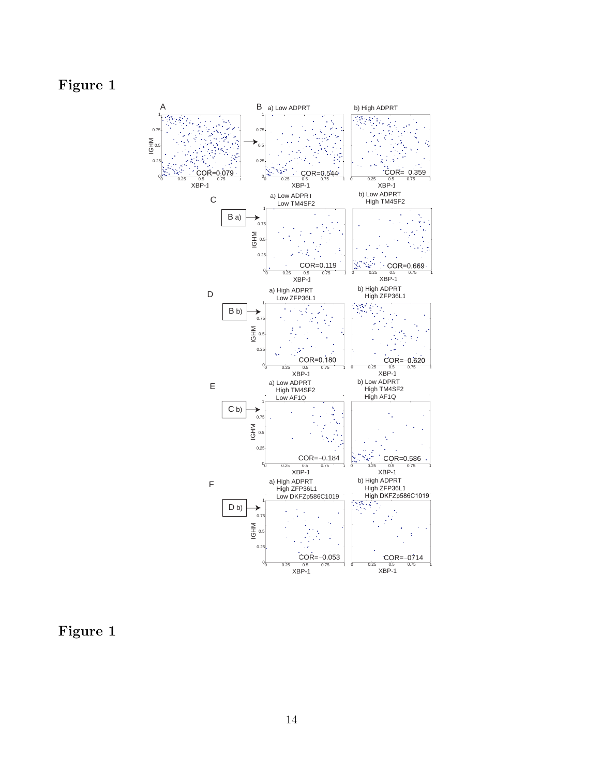# **Figure 1**



**Figure 1**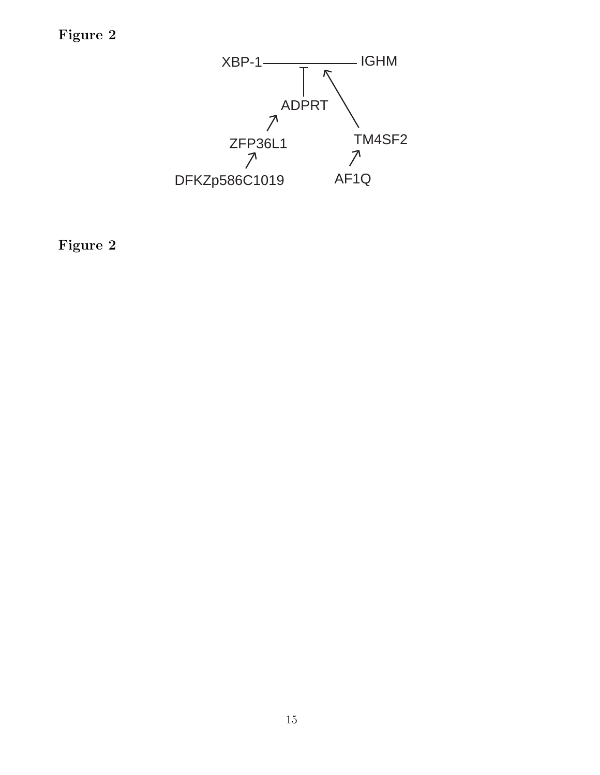**Figure 2**



**Figure 2**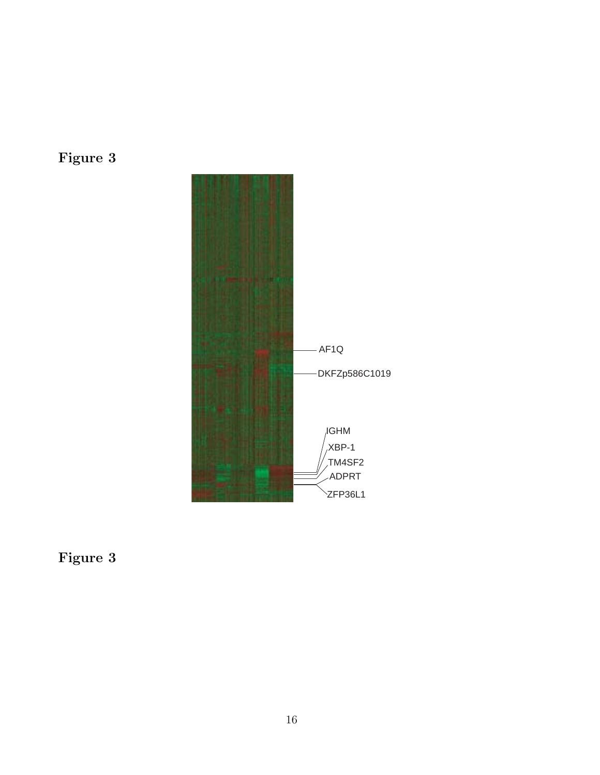



**Figure 3**